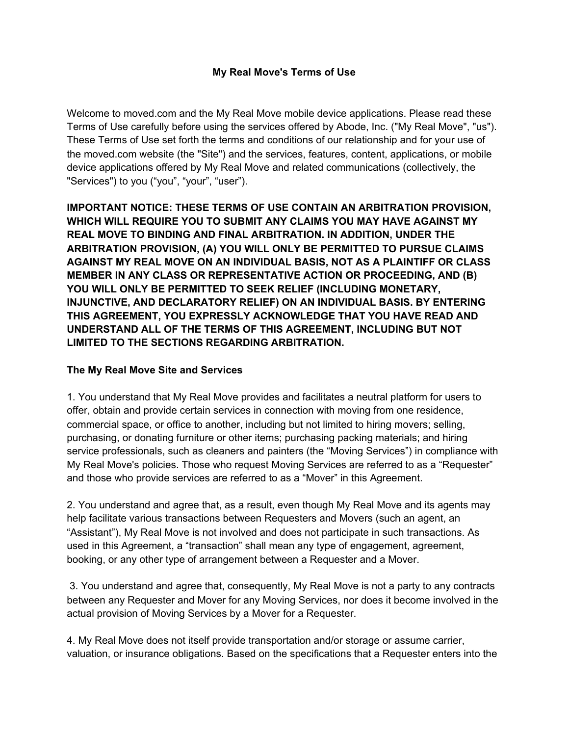### **My Real Move's Terms of Use**

Welcome to moved.com and the My Real Move mobile device applications. Please read these Terms of Use carefully before using the services offered by Abode, Inc. ("My Real Move", "us"). These Terms of Use set forth the terms and conditions of our relationship and for your use of the moved.com website (the "Site") and the services, features, content, applications, or mobile device applications offered by My Real Move and related communications (collectively, the "Services") to you ("you", "your", "user").

**IMPORTANT NOTICE: THESE TERMS OF USE CONTAIN AN ARBITRATION PROVISION, WHICH WILL REQUIRE YOU TO SUBMIT ANY CLAIMS YOU MAY HAVE AGAINST MY REAL MOVE TO BINDING AND FINAL ARBITRATION. IN ADDITION, UNDER THE ARBITRATION PROVISION, (A) YOU WILL ONLY BE PERMITTED TO PURSUE CLAIMS AGAINST MY REAL MOVE ON AN INDIVIDUAL BASIS, NOT AS A PLAINTIFF OR CLASS MEMBER IN ANY CLASS OR REPRESENTATIVE ACTION OR PROCEEDING, AND (B) YOU WILL ONLY BE PERMITTED TO SEEK RELIEF (INCLUDING MONETARY, INJUNCTIVE, AND DECLARATORY RELIEF) ON AN INDIVIDUAL BASIS. BY ENTERING THIS AGREEMENT, YOU EXPRESSLY ACKNOWLEDGE THAT YOU HAVE READ AND UNDERSTAND ALL OF THE TERMS OF THIS AGREEMENT, INCLUDING BUT NOT LIMITED TO THE SECTIONS REGARDING ARBITRATION.**

#### **The My Real Move Site and Services**

1. You understand that My Real Move provides and facilitates a neutral platform for users to offer, obtain and provide certain services in connection with moving from one residence, commercial space, or office to another, including but not limited to hiring movers; selling, purchasing, or donating furniture or other items; purchasing packing materials; and hiring service professionals, such as cleaners and painters (the "Moving Services") in compliance with My Real Move's policies. Those who request Moving Services are referred to as a "Requester" and those who provide services are referred to as a "Mover" in this Agreement.

2. You understand and agree that, as a result, even though My Real Move and its agents may help facilitate various transactions between Requesters and Movers (such an agent, an "Assistant"), My Real Move is not involved and does not participate in such transactions. As used in this Agreement, a "transaction" shall mean any type of engagement, agreement, booking, or any other type of arrangement between a Requester and a Mover.

3. You understand and agree that, consequently, My Real Move is not a party to any contracts between any Requester and Mover for any Moving Services, nor does it become involved in the actual provision of Moving Services by a Mover for a Requester.

4. My Real Move does not itself provide transportation and/or storage or assume carrier, valuation, or insurance obligations. Based on the specifications that a Requester enters into the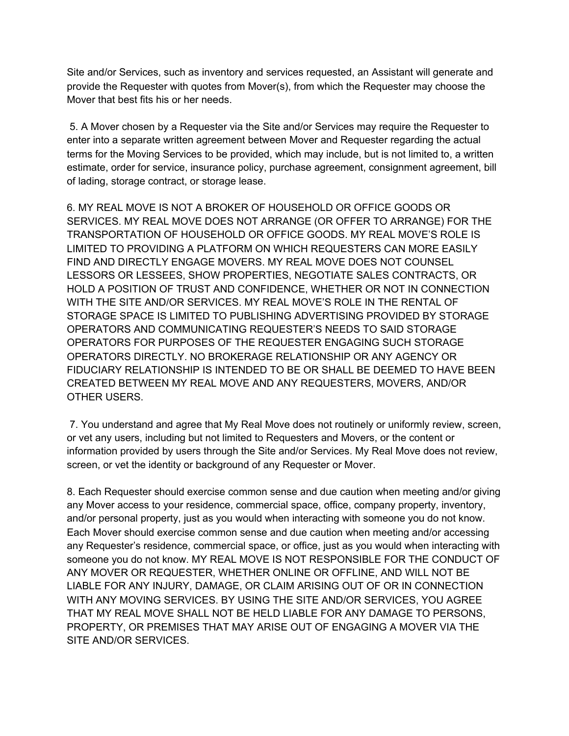Site and/or Services, such as inventory and services requested, an Assistant will generate and provide the Requester with quotes from Mover(s), from which the Requester may choose the Mover that best fits his or her needs.

5. A Mover chosen by a Requester via the Site and/or Services may require the Requester to enter into a separate written agreement between Mover and Requester regarding the actual terms for the Moving Services to be provided, which may include, but is not limited to, a written estimate, order for service, insurance policy, purchase agreement, consignment agreement, bill of lading, storage contract, or storage lease.

6. MY REAL MOVE IS NOT A BROKER OF HOUSEHOLD OR OFFICE GOODS OR SERVICES. MY REAL MOVE DOES NOT ARRANGE (OR OFFER TO ARRANGE) FOR THE TRANSPORTATION OF HOUSEHOLD OR OFFICE GOODS. MY REAL MOVE'S ROLE IS LIMITED TO PROVIDING A PLATFORM ON WHICH REQUESTERS CAN MORE EASILY FIND AND DIRECTLY ENGAGE MOVERS. MY REAL MOVE DOES NOT COUNSEL LESSORS OR LESSEES, SHOW PROPERTIES, NEGOTIATE SALES CONTRACTS, OR HOLD A POSITION OF TRUST AND CONFIDENCE, WHETHER OR NOT IN CONNECTION WITH THE SITE AND/OR SERVICES. MY REAL MOVE'S ROLE IN THE RENTAL OF STORAGE SPACE IS LIMITED TO PUBLISHING ADVERTISING PROVIDED BY STORAGE OPERATORS AND COMMUNICATING REQUESTER'S NEEDS TO SAID STORAGE OPERATORS FOR PURPOSES OF THE REQUESTER ENGAGING SUCH STORAGE OPERATORS DIRECTLY. NO BROKERAGE RELATIONSHIP OR ANY AGENCY OR FIDUCIARY RELATIONSHIP IS INTENDED TO BE OR SHALL BE DEEMED TO HAVE BEEN CREATED BETWEEN MY REAL MOVE AND ANY REQUESTERS, MOVERS, AND/OR OTHER USERS.

7. You understand and agree that My Real Move does not routinely or uniformly review, screen, or vet any users, including but not limited to Requesters and Movers, or the content or information provided by users through the Site and/or Services. My Real Move does not review, screen, or vet the identity or background of any Requester or Mover.

8. Each Requester should exercise common sense and due caution when meeting and/or giving any Mover access to your residence, commercial space, office, company property, inventory, and/or personal property, just as you would when interacting with someone you do not know. Each Mover should exercise common sense and due caution when meeting and/or accessing any Requester's residence, commercial space, or office, just as you would when interacting with someone you do not know. MY REAL MOVE IS NOT RESPONSIBLE FOR THE CONDUCT OF ANY MOVER OR REQUESTER, WHETHER ONLINE OR OFFLINE, AND WILL NOT BE LIABLE FOR ANY INJURY, DAMAGE, OR CLAIM ARISING OUT OF OR IN CONNECTION WITH ANY MOVING SERVICES. BY USING THE SITE AND/OR SERVICES, YOU AGREE THAT MY REAL MOVE SHALL NOT BE HELD LIABLE FOR ANY DAMAGE TO PERSONS, PROPERTY, OR PREMISES THAT MAY ARISE OUT OF ENGAGING A MOVER VIA THE SITE AND/OR SERVICES.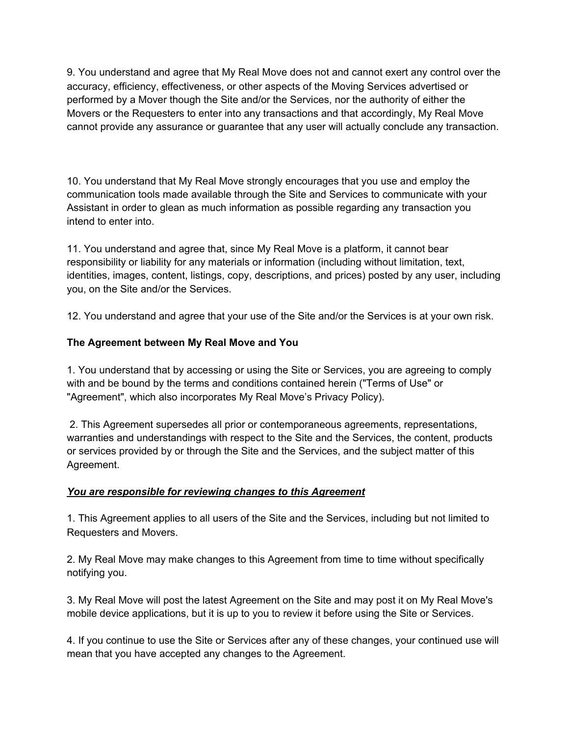9. You understand and agree that My Real Move does not and cannot exert any control over the accuracy, efficiency, effectiveness, or other aspects of the Moving Services advertised or performed by a Mover though the Site and/or the Services, nor the authority of either the Movers or the Requesters to enter into any transactions and that accordingly, My Real Move cannot provide any assurance or guarantee that any user will actually conclude any transaction.

10. You understand that My Real Move strongly encourages that you use and employ the communication tools made available through the Site and Services to communicate with your Assistant in order to glean as much information as possible regarding any transaction you intend to enter into.

11. You understand and agree that, since My Real Move is a platform, it cannot bear responsibility or liability for any materials or information (including without limitation, text, identities, images, content, listings, copy, descriptions, and prices) posted by any user, including you, on the Site and/or the Services.

12. You understand and agree that your use of the Site and/or the Services is at your own risk.

# **The Agreement between My Real Move and You**

1. You understand that by accessing or using the Site or Services, you are agreeing to comply with and be bound by the terms and conditions contained herein ("Terms of Use" or "Agreement", which also incorporates My Real Move's Privacy Policy).

2. This Agreement supersedes all prior or contemporaneous agreements, representations, warranties and understandings with respect to the Site and the Services, the content, products or services provided by or through the Site and the Services, and the subject matter of this Agreement.

### *You are responsible for reviewing changes to this Agreement*

1. This Agreement applies to all users of the Site and the Services, including but not limited to Requesters and Movers.

2. My Real Move may make changes to this Agreement from time to time without specifically notifying you.

3. My Real Move will post the latest Agreement on the Site and may post it on My Real Move's mobile device applications, but it is up to you to review it before using the Site or Services.

4. If you continue to use the Site or Services after any of these changes, your continued use will mean that you have accepted any changes to the Agreement.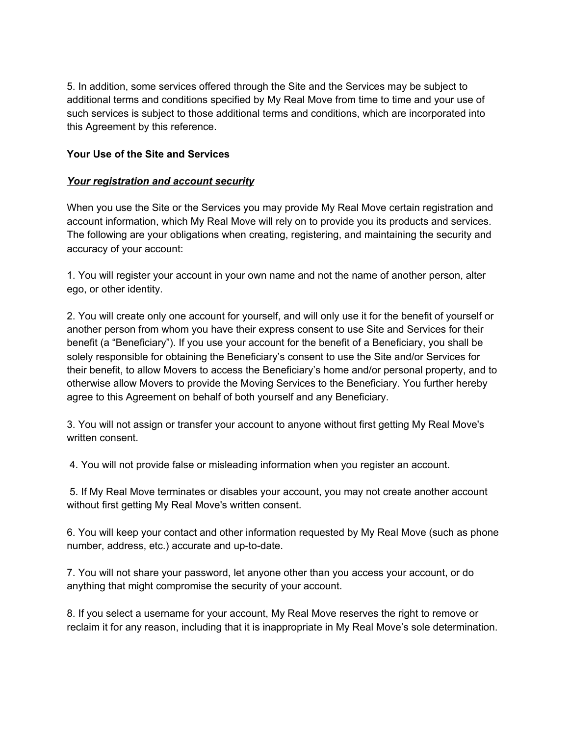5. In addition, some services offered through the Site and the Services may be subject to additional terms and conditions specified by My Real Move from time to time and your use of such services is subject to those additional terms and conditions, which are incorporated into this Agreement by this reference.

### **Your Use of the Site and Services**

### *Your registration and account security*

When you use the Site or the Services you may provide My Real Move certain registration and account information, which My Real Move will rely on to provide you its products and services. The following are your obligations when creating, registering, and maintaining the security and accuracy of your account:

1. You will register your account in your own name and not the name of another person, alter ego, or other identity.

2. You will create only one account for yourself, and will only use it for the benefit of yourself or another person from whom you have their express consent to use Site and Services for their benefit (a "Beneficiary"). If you use your account for the benefit of a Beneficiary, you shall be solely responsible for obtaining the Beneficiary's consent to use the Site and/or Services for their benefit, to allow Movers to access the Beneficiary's home and/or personal property, and to otherwise allow Movers to provide the Moving Services to the Beneficiary. You further hereby agree to this Agreement on behalf of both yourself and any Beneficiary.

3. You will not assign or transfer your account to anyone without first getting My Real Move's written consent.

4. You will not provide false or misleading information when you register an account.

5. If My Real Move terminates or disables your account, you may not create another account without first getting My Real Move's written consent.

6. You will keep your contact and other information requested by My Real Move (such as phone number, address, etc.) accurate and up-to-date.

7. You will not share your password, let anyone other than you access your account, or do anything that might compromise the security of your account.

8. If you select a username for your account, My Real Move reserves the right to remove or reclaim it for any reason, including that it is inappropriate in My Real Move's sole determination.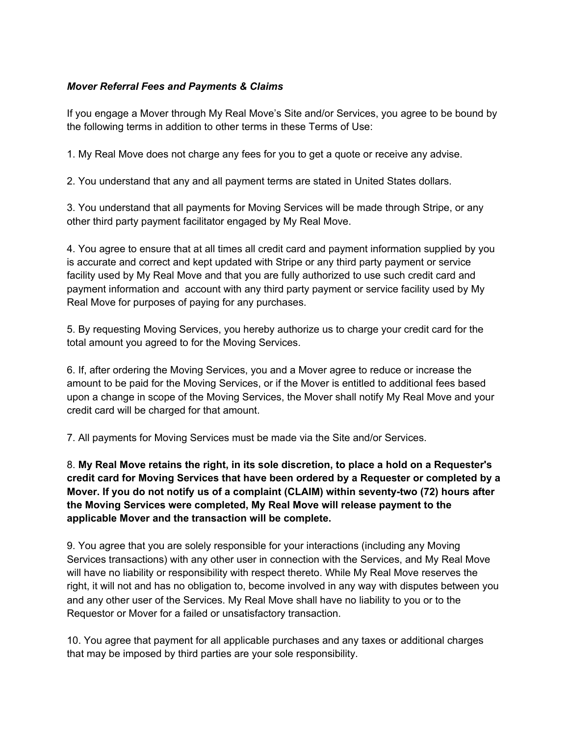### *Mover Referral Fees and Payments & Claims*

If you engage a Mover through My Real Move's Site and/or Services, you agree to be bound by the following terms in addition to other terms in these Terms of Use:

1. My Real Move does not charge any fees for you to get a quote or receive any advise.

2. You understand that any and all payment terms are stated in United States dollars.

3. You understand that all payments for Moving Services will be made through Stripe, or any other third party payment facilitator engaged by My Real Move.

4. You agree to ensure that at all times all credit card and payment information supplied by you is accurate and correct and kept updated with Stripe or any third party payment or service facility used by My Real Move and that you are fully authorized to use such credit card and payment information and account with any third party payment or service facility used by My Real Move for purposes of paying for any purchases.

5. By requesting Moving Services, you hereby authorize us to charge your credit card for the total amount you agreed to for the Moving Services.

6. If, after ordering the Moving Services, you and a Mover agree to reduce or increase the amount to be paid for the Moving Services, or if the Mover is entitled to additional fees based upon a change in scope of the Moving Services, the Mover shall notify My Real Move and your credit card will be charged for that amount.

7. All payments for Moving Services must be made via the Site and/or Services.

8. **My Real Move retains the right, in its sole discretion, to place a hold on a Requester's credit card for Moving Services that have been ordered by a Requester or completed by a Mover. If you do not notify us of a complaint (CLAIM) within seventy-two (72) hours after the Moving Services were completed, My Real Move will release payment to the applicable Mover and the transaction will be complete.**

9. You agree that you are solely responsible for your interactions (including any Moving Services transactions) with any other user in connection with the Services, and My Real Move will have no liability or responsibility with respect thereto. While My Real Move reserves the right, it will not and has no obligation to, become involved in any way with disputes between you and any other user of the Services. My Real Move shall have no liability to you or to the Requestor or Mover for a failed or unsatisfactory transaction.

10. You agree that payment for all applicable purchases and any taxes or additional charges that may be imposed by third parties are your sole responsibility.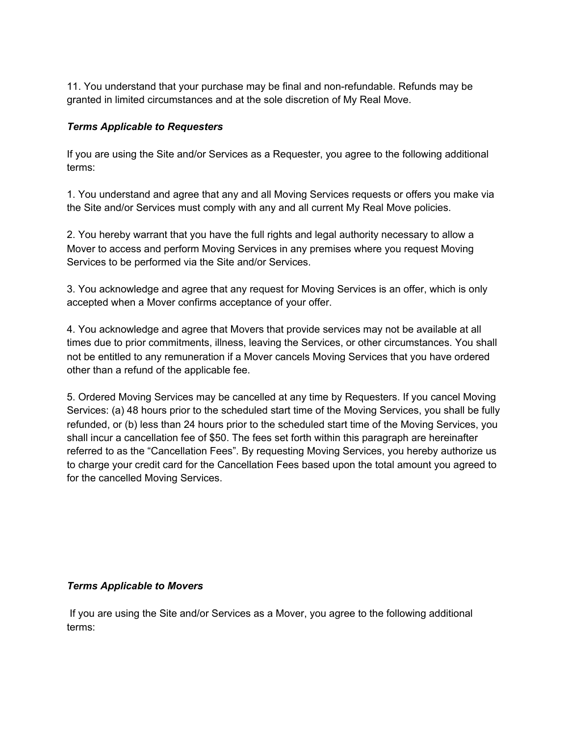11. You understand that your purchase may be final and non-refundable. Refunds may be granted in limited circumstances and at the sole discretion of My Real Move.

#### *Terms Applicable to Requesters*

If you are using the Site and/or Services as a Requester, you agree to the following additional terms:

1. You understand and agree that any and all Moving Services requests or offers you make via the Site and/or Services must comply with any and all current My Real Move policies.

2. You hereby warrant that you have the full rights and legal authority necessary to allow a Mover to access and perform Moving Services in any premises where you request Moving Services to be performed via the Site and/or Services.

3. You acknowledge and agree that any request for Moving Services is an offer, which is only accepted when a Mover confirms acceptance of your offer.

4. You acknowledge and agree that Movers that provide services may not be available at all times due to prior commitments, illness, leaving the Services, or other circumstances. You shall not be entitled to any remuneration if a Mover cancels Moving Services that you have ordered other than a refund of the applicable fee.

5. Ordered Moving Services may be cancelled at any time by Requesters. If you cancel Moving Services: (a) 48 hours prior to the scheduled start time of the Moving Services, you shall be fully refunded, or (b) less than 24 hours prior to the scheduled start time of the Moving Services, you shall incur a cancellation fee of \$50. The fees set forth within this paragraph are hereinafter referred to as the "Cancellation Fees". By requesting Moving Services, you hereby authorize us to charge your credit card for the Cancellation Fees based upon the total amount you agreed to for the cancelled Moving Services.

#### *Terms Applicable to Movers*

If you are using the Site and/or Services as a Mover, you agree to the following additional terms: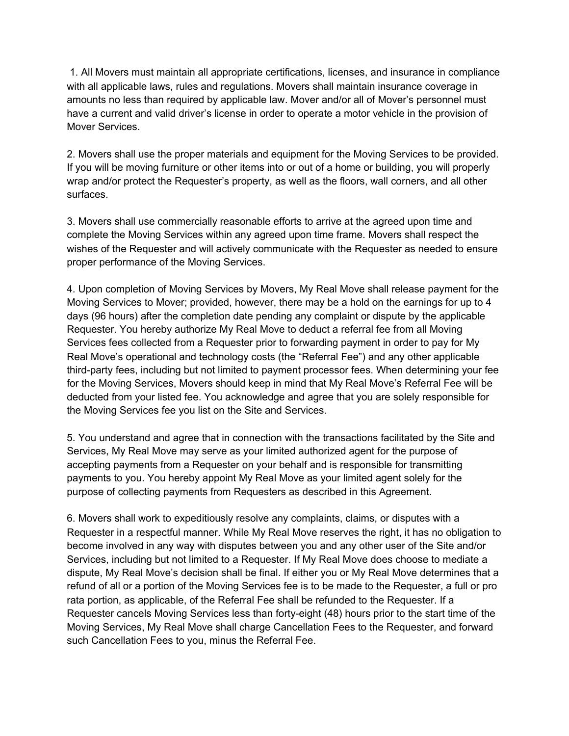1. All Movers must maintain all appropriate certifications, licenses, and insurance in compliance with all applicable laws, rules and regulations. Movers shall maintain insurance coverage in amounts no less than required by applicable law. Mover and/or all of Mover's personnel must have a current and valid driver's license in order to operate a motor vehicle in the provision of Mover Services.

2. Movers shall use the proper materials and equipment for the Moving Services to be provided. If you will be moving furniture or other items into or out of a home or building, you will properly wrap and/or protect the Requester's property, as well as the floors, wall corners, and all other surfaces.

3. Movers shall use commercially reasonable efforts to arrive at the agreed upon time and complete the Moving Services within any agreed upon time frame. Movers shall respect the wishes of the Requester and will actively communicate with the Requester as needed to ensure proper performance of the Moving Services.

4. Upon completion of Moving Services by Movers, My Real Move shall release payment for the Moving Services to Mover; provided, however, there may be a hold on the earnings for up to 4 days (96 hours) after the completion date pending any complaint or dispute by the applicable Requester. You hereby authorize My Real Move to deduct a referral fee from all Moving Services fees collected from a Requester prior to forwarding payment in order to pay for My Real Move's operational and technology costs (the "Referral Fee") and any other applicable third-party fees, including but not limited to payment processor fees. When determining your fee for the Moving Services, Movers should keep in mind that My Real Move's Referral Fee will be deducted from your listed fee. You acknowledge and agree that you are solely responsible for the Moving Services fee you list on the Site and Services.

5. You understand and agree that in connection with the transactions facilitated by the Site and Services, My Real Move may serve as your limited authorized agent for the purpose of accepting payments from a Requester on your behalf and is responsible for transmitting payments to you. You hereby appoint My Real Move as your limited agent solely for the purpose of collecting payments from Requesters as described in this Agreement.

6. Movers shall work to expeditiously resolve any complaints, claims, or disputes with a Requester in a respectful manner. While My Real Move reserves the right, it has no obligation to become involved in any way with disputes between you and any other user of the Site and/or Services, including but not limited to a Requester. If My Real Move does choose to mediate a dispute, My Real Move's decision shall be final. If either you or My Real Move determines that a refund of all or a portion of the Moving Services fee is to be made to the Requester, a full or pro rata portion, as applicable, of the Referral Fee shall be refunded to the Requester. If a Requester cancels Moving Services less than forty-eight (48) hours prior to the start time of the Moving Services, My Real Move shall charge Cancellation Fees to the Requester, and forward such Cancellation Fees to you, minus the Referral Fee.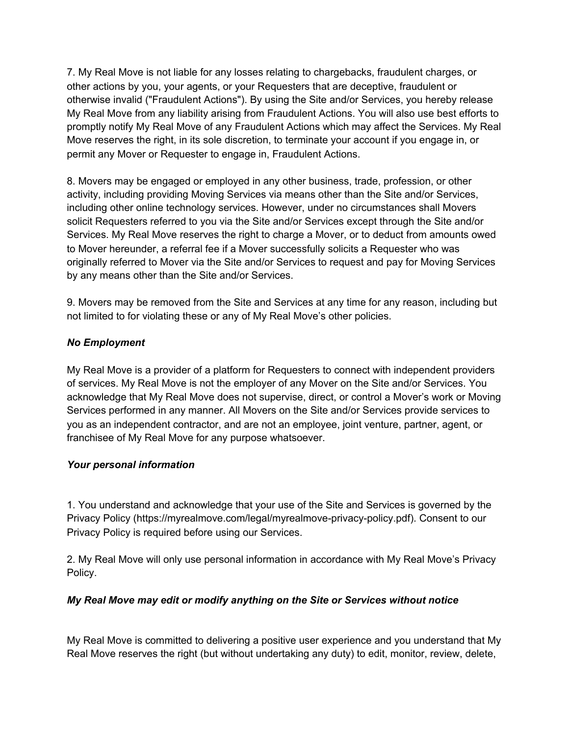7. My Real Move is not liable for any losses relating to chargebacks, fraudulent charges, or other actions by you, your agents, or your Requesters that are deceptive, fraudulent or otherwise invalid ("Fraudulent Actions"). By using the Site and/or Services, you hereby release My Real Move from any liability arising from Fraudulent Actions. You will also use best efforts to promptly notify My Real Move of any Fraudulent Actions which may affect the Services. My Real Move reserves the right, in its sole discretion, to terminate your account if you engage in, or permit any Mover or Requester to engage in, Fraudulent Actions.

8. Movers may be engaged or employed in any other business, trade, profession, or other activity, including providing Moving Services via means other than the Site and/or Services, including other online technology services. However, under no circumstances shall Movers solicit Requesters referred to you via the Site and/or Services except through the Site and/or Services. My Real Move reserves the right to charge a Mover, or to deduct from amounts owed to Mover hereunder, a referral fee if a Mover successfully solicits a Requester who was originally referred to Mover via the Site and/or Services to request and pay for Moving Services by any means other than the Site and/or Services.

9. Movers may be removed from the Site and Services at any time for any reason, including but not limited to for violating these or any of My Real Move's other policies.

### *No Employment*

My Real Move is a provider of a platform for Requesters to connect with independent providers of services. My Real Move is not the employer of any Mover on the Site and/or Services. You acknowledge that My Real Move does not supervise, direct, or control a Mover's work or Moving Services performed in any manner. All Movers on the Site and/or Services provide services to you as an independent contractor, and are not an employee, joint venture, partner, agent, or franchisee of My Real Move for any purpose whatsoever.

### *Your personal information*

1. You understand and acknowledge that your use of the Site and Services is governed by the Privacy Policy (https://myrealmove.com/legal/myrealmove-privacy-policy.pdf). Consent to our Privacy Policy is required before using our Services.

2. My Real Move will only use personal information in accordance with My Real Move's Privacy Policy.

# *My Real Move may edit or modify anything on the Site or Services without notice*

My Real Move is committed to delivering a positive user experience and you understand that My Real Move reserves the right (but without undertaking any duty) to edit, monitor, review, delete,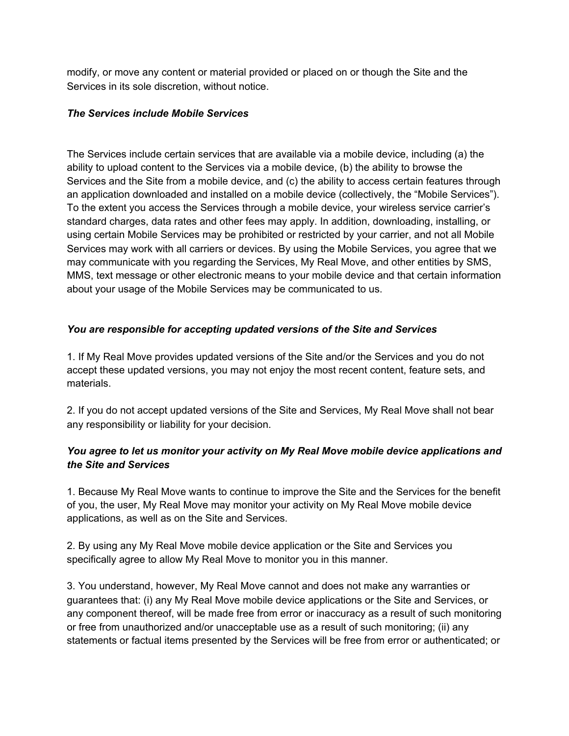modify, or move any content or material provided or placed on or though the Site and the Services in its sole discretion, without notice.

### *The Services include Mobile Services*

The Services include certain services that are available via a mobile device, including (a) the ability to upload content to the Services via a mobile device, (b) the ability to browse the Services and the Site from a mobile device, and (c) the ability to access certain features through an application downloaded and installed on a mobile device (collectively, the "Mobile Services"). To the extent you access the Services through a mobile device, your wireless service carrier's standard charges, data rates and other fees may apply. In addition, downloading, installing, or using certain Mobile Services may be prohibited or restricted by your carrier, and not all Mobile Services may work with all carriers or devices. By using the Mobile Services, you agree that we may communicate with you regarding the Services, My Real Move, and other entities by SMS, MMS, text message or other electronic means to your mobile device and that certain information about your usage of the Mobile Services may be communicated to us.

### *You are responsible for accepting updated versions of the Site and Services*

1. If My Real Move provides updated versions of the Site and/or the Services and you do not accept these updated versions, you may not enjoy the most recent content, feature sets, and materials.

2. If you do not accept updated versions of the Site and Services, My Real Move shall not bear any responsibility or liability for your decision.

# *You agree to let us monitor your activity on My Real Move mobile device applications and the Site and Services*

1. Because My Real Move wants to continue to improve the Site and the Services for the benefit of you, the user, My Real Move may monitor your activity on My Real Move mobile device applications, as well as on the Site and Services.

2. By using any My Real Move mobile device application or the Site and Services you specifically agree to allow My Real Move to monitor you in this manner.

3. You understand, however, My Real Move cannot and does not make any warranties or guarantees that: (i) any My Real Move mobile device applications or the Site and Services, or any component thereof, will be made free from error or inaccuracy as a result of such monitoring or free from unauthorized and/or unacceptable use as a result of such monitoring; (ii) any statements or factual items presented by the Services will be free from error or authenticated; or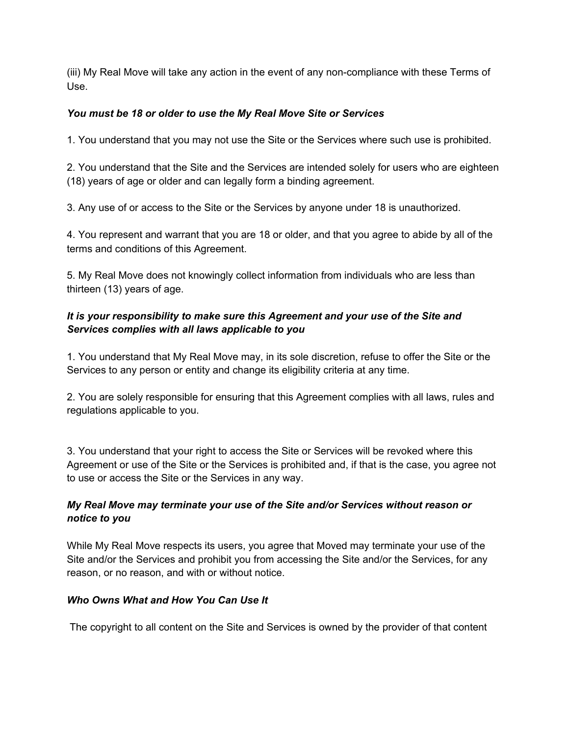(iii) My Real Move will take any action in the event of any non-compliance with these Terms of Use.

## *You must be 18 or older to use the My Real Move Site or Services*

1. You understand that you may not use the Site or the Services where such use is prohibited.

2. You understand that the Site and the Services are intended solely for users who are eighteen (18) years of age or older and can legally form a binding agreement.

3. Any use of or access to the Site or the Services by anyone under 18 is unauthorized.

4. You represent and warrant that you are 18 or older, and that you agree to abide by all of the terms and conditions of this Agreement.

5. My Real Move does not knowingly collect information from individuals who are less than thirteen (13) years of age.

# *It is your responsibility to make sure this Agreement and your use of the Site and Services complies with all laws applicable to you*

1. You understand that My Real Move may, in its sole discretion, refuse to offer the Site or the Services to any person or entity and change its eligibility criteria at any time.

2. You are solely responsible for ensuring that this Agreement complies with all laws, rules and regulations applicable to you.

3. You understand that your right to access the Site or Services will be revoked where this Agreement or use of the Site or the Services is prohibited and, if that is the case, you agree not to use or access the Site or the Services in any way.

## *My Real Move may terminate your use of the Site and/or Services without reason or notice to you*

While My Real Move respects its users, you agree that Moved may terminate your use of the Site and/or the Services and prohibit you from accessing the Site and/or the Services, for any reason, or no reason, and with or without notice.

### *Who Owns What and How You Can Use It*

The copyright to all content on the Site and Services is owned by the provider of that content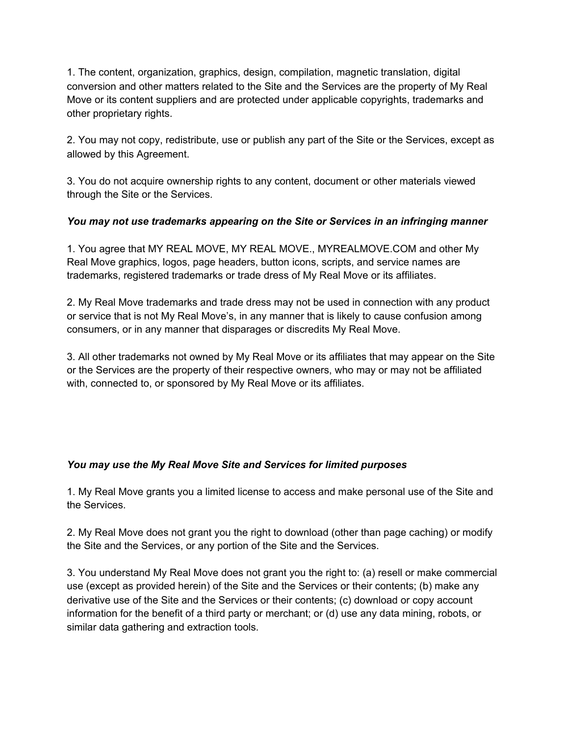1. The content, organization, graphics, design, compilation, magnetic translation, digital conversion and other matters related to the Site and the Services are the property of My Real Move or its content suppliers and are protected under applicable copyrights, trademarks and other proprietary rights.

2. You may not copy, redistribute, use or publish any part of the Site or the Services, except as allowed by this Agreement.

3. You do not acquire ownership rights to any content, document or other materials viewed through the Site or the Services.

## *You may not use trademarks appearing on the Site or Services in an infringing manner*

1. You agree that MY REAL MOVE, MY REAL MOVE., MYREALMOVE.COM and other My Real Move graphics, logos, page headers, button icons, scripts, and service names are trademarks, registered trademarks or trade dress of My Real Move or its affiliates.

2. My Real Move trademarks and trade dress may not be used in connection with any product or service that is not My Real Move's, in any manner that is likely to cause confusion among consumers, or in any manner that disparages or discredits My Real Move.

3. All other trademarks not owned by My Real Move or its affiliates that may appear on the Site or the Services are the property of their respective owners, who may or may not be affiliated with, connected to, or sponsored by My Real Move or its affiliates.

### *You may use the My Real Move Site and Services for limited purposes*

1. My Real Move grants you a limited license to access and make personal use of the Site and the Services.

2. My Real Move does not grant you the right to download (other than page caching) or modify the Site and the Services, or any portion of the Site and the Services.

3. You understand My Real Move does not grant you the right to: (a) resell or make commercial use (except as provided herein) of the Site and the Services or their contents; (b) make any derivative use of the Site and the Services or their contents; (c) download or copy account information for the benefit of a third party or merchant; or (d) use any data mining, robots, or similar data gathering and extraction tools.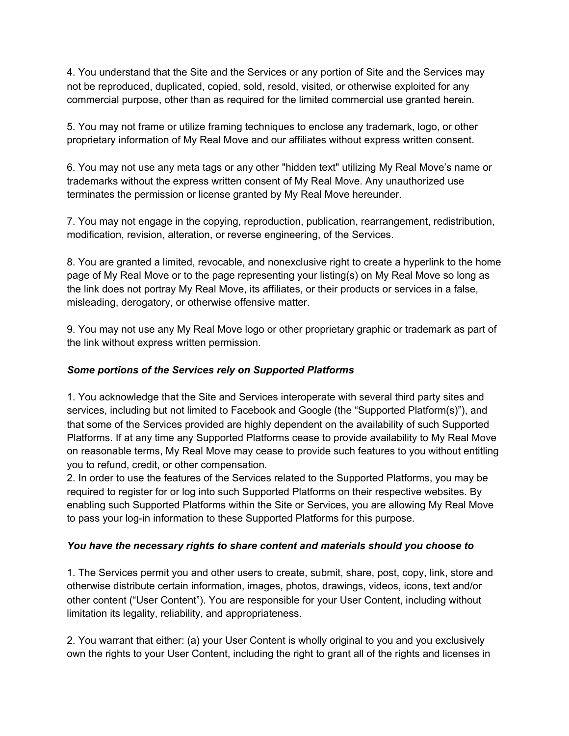4. You understand that the Site and the Services or any portion of Site and the Services may not be reproduced, duplicated, copied, sold, resold, visited, or otherwise exploited for any commercial purpose, other than as required for the limited commercial use granted herein.

5. You may not frame or utilize framing techniques to enclose any trademark, logo, or other proprietary information of My Real Move and our affiliates without express written consent.

6. You may not use any meta tags or any other "hidden text" utilizing My Real Move's name or trademarks without the express written consent of My Real Move. Any unauthorized use terminates the permission or license granted by My Real Move hereunder.

7. You may not engage in the copying, reproduction, publication, rearrangement, redistribution, modification, revision, alteration, or reverse engineering, of the Services.

8. You are granted a limited, revocable, and nonexclusive right to create a hyperlink to the home page of My Real Move or to the page representing your listing(s) on My Real Move so long as the link does not portray My Real Move, its affiliates, or their products or services in a false, misleading, derogatory, or otherwise offensive matter.

9. You may not use any My Real Move logo or other proprietary graphic or trademark as part of the link without express written permission.

# *Some portions of the Services rely on Supported Platforms*

1. You acknowledge that the Site and Services interoperate with several third party sites and services, including but not limited to Facebook and Google (the "Supported Platform(s)"), and that some of the Services provided are highly dependent on the availability of such Supported Platforms. If at any time any Supported Platforms cease to provide availability to My Real Move on reasonable terms, My Real Move may cease to provide such features to you without entitling you to refund, credit, or other compensation.

2. In order to use the features of the Services related to the Supported Platforms, you may be required to register for or log into such Supported Platforms on their respective websites. By enabling such Supported Platforms within the Site or Services, you are allowing My Real Move to pass your log-in information to these Supported Platforms for this purpose.

### *You have the necessary rights to share content and materials should you choose to*

1. The Services permit you and other users to create, submit, share, post, copy, link, store and otherwise distribute certain information, images, photos, drawings, videos, icons, text and/or other content ("User Content"). You are responsible for your User Content, including without limitation its legality, reliability, and appropriateness.

2. You warrant that either: (a) your User Content is wholly original to you and you exclusively own the rights to your User Content, including the right to grant all of the rights and licenses in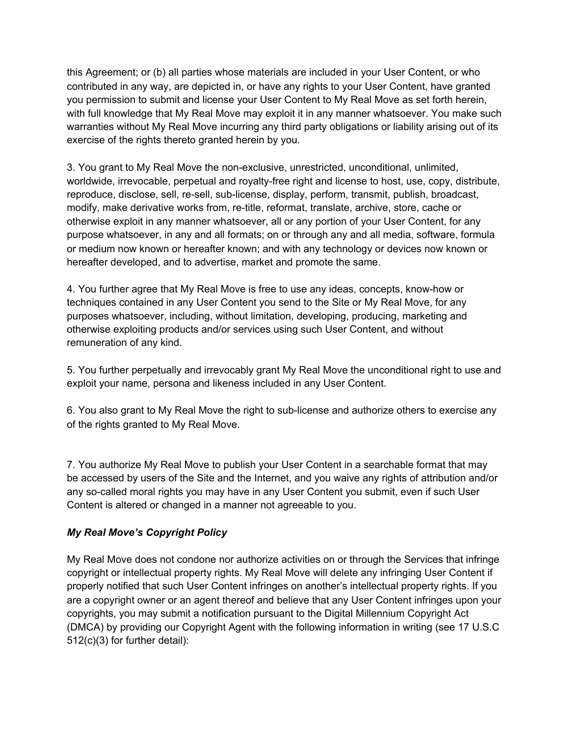this Agreement; or (b) all parties whose materials are included in your User Content, or who contributed in any way, are depicted in, or have any rights to your User Content, have granted you permission to submit and license your User Content to My Real Move as set forth herein, with full knowledge that My Real Move may exploit it in any manner whatsoever. You make such warranties without My Real Move incurring any third party obligations or liability arising out of its exercise of the rights thereto granted herein by you.

3. You grant to My Real Move the non-exclusive, unrestricted, unconditional, unlimited, worldwide, irrevocable, perpetual and royalty-free right and license to host, use, copy, distribute, reproduce, disclose, sell, re-sell, sub-license, display, perform, transmit, publish, broadcast, modify, make derivative works from, re-title, reformat, translate, archive, store, cache or otherwise exploit in any manner whatsoever, all or any portion of your User Content, for any purpose whatsoever, in any and all formats; on or through any and all media, software, formula or medium now known or hereafter known; and with any technology or devices now known or hereafter developed, and to advertise, market and promote the same.

4. You further agree that My Real Move is free to use any ideas, concepts, know-how or techniques contained in any User Content you send to the Site or My Real Move, for any purposes whatsoever, including, without limitation, developing, producing, marketing and otherwise exploiting products and/or services using such User Content, and without remuneration of any kind.

5. You further perpetually and irrevocably grant My Real Move the unconditional right to use and exploit your name, persona and likeness included in any User Content.

6. You also grant to My Real Move the right to sub-license and authorize others to exercise any of the rights granted to My Real Move.

7. You authorize My Real Move to publish your User Content in a searchable format that may be accessed by users of the Site and the Internet, and you waive any rights of attribution and/or any so-called moral rights you may have in any User Content you submit, even if such User Content is altered or changed in a manner not agreeable to you.

### *My Real Move's Copyright Policy*

My Real Move does not condone nor authorize activities on or through the Services that infringe copyright or intellectual property rights. My Real Move will delete any infringing User Content if properly notified that such User Content infringes on another's intellectual property rights. If you are a copyright owner or an agent thereof and believe that any User Content infringes upon your copyrights, you may submit a notification pursuant to the Digital Millennium Copyright Act (DMCA) by providing our Copyright Agent with the following information in writing (see 17 U.S.C 512(c)(3) for further detail):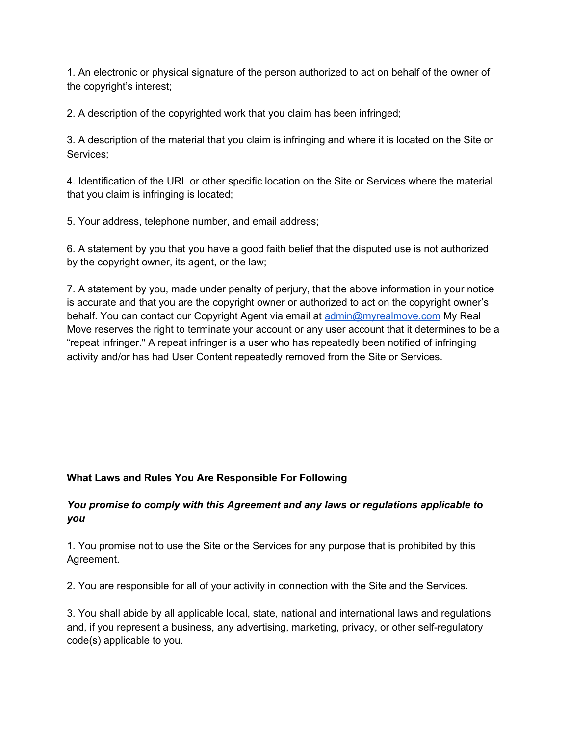1. An electronic or physical signature of the person authorized to act on behalf of the owner of the copyright's interest;

2. A description of the copyrighted work that you claim has been infringed;

3. A description of the material that you claim is infringing and where it is located on the Site or Services;

4. Identification of the URL or other specific location on the Site or Services where the material that you claim is infringing is located;

5. Your address, telephone number, and email address;

6. A statement by you that you have a good faith belief that the disputed use is not authorized by the copyright owner, its agent, or the law;

7. A statement by you, made under penalty of perjury, that the above information in your notice is accurate and that you are the copyright owner or authorized to act on the copyright owner's behalf. You can contact our Copyright Agent via email at [admin@myrealmove.com](mailto:admin@myrealmove.com) My Real Move reserves the right to terminate your account or any user account that it determines to be a "repeat infringer." A repeat infringer is a user who has repeatedly been notified of infringing activity and/or has had User Content repeatedly removed from the Site or Services.

### **What Laws and Rules You Are Responsible For Following**

### *You promise to comply with this Agreement and any laws or regulations applicable to you*

1. You promise not to use the Site or the Services for any purpose that is prohibited by this Agreement.

2. You are responsible for all of your activity in connection with the Site and the Services.

3. You shall abide by all applicable local, state, national and international laws and regulations and, if you represent a business, any advertising, marketing, privacy, or other self-regulatory code(s) applicable to you.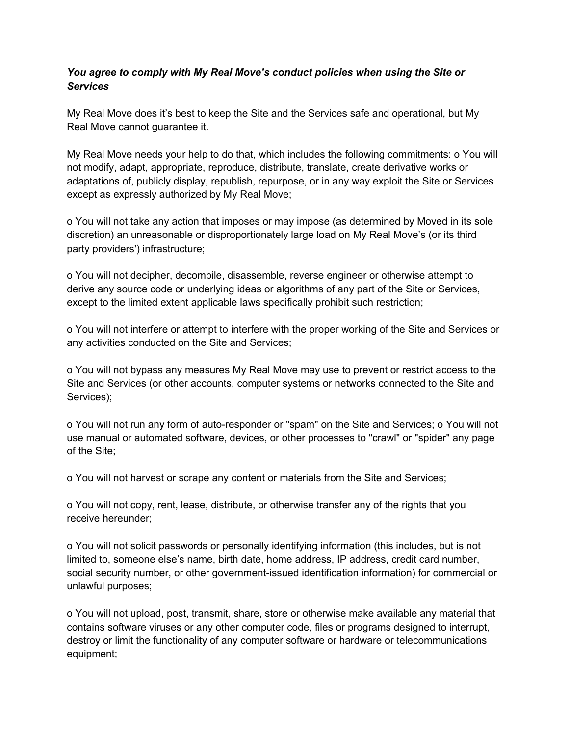### *You agree to comply with My Real Move's conduct policies when using the Site or Services*

My Real Move does it's best to keep the Site and the Services safe and operational, but My Real Move cannot guarantee it.

My Real Move needs your help to do that, which includes the following commitments: o You will not modify, adapt, appropriate, reproduce, distribute, translate, create derivative works or adaptations of, publicly display, republish, repurpose, or in any way exploit the Site or Services except as expressly authorized by My Real Move;

o You will not take any action that imposes or may impose (as determined by Moved in its sole discretion) an unreasonable or disproportionately large load on My Real Move's (or its third party providers') infrastructure;

o You will not decipher, decompile, disassemble, reverse engineer or otherwise attempt to derive any source code or underlying ideas or algorithms of any part of the Site or Services, except to the limited extent applicable laws specifically prohibit such restriction;

o You will not interfere or attempt to interfere with the proper working of the Site and Services or any activities conducted on the Site and Services;

o You will not bypass any measures My Real Move may use to prevent or restrict access to the Site and Services (or other accounts, computer systems or networks connected to the Site and Services);

o You will not run any form of auto-responder or "spam" on the Site and Services; o You will not use manual or automated software, devices, or other processes to "crawl" or "spider" any page of the Site;

o You will not harvest or scrape any content or materials from the Site and Services;

o You will not copy, rent, lease, distribute, or otherwise transfer any of the rights that you receive hereunder;

o You will not solicit passwords or personally identifying information (this includes, but is not limited to, someone else's name, birth date, home address, IP address, credit card number, social security number, or other government-issued identification information) for commercial or unlawful purposes;

o You will not upload, post, transmit, share, store or otherwise make available any material that contains software viruses or any other computer code, files or programs designed to interrupt, destroy or limit the functionality of any computer software or hardware or telecommunications equipment;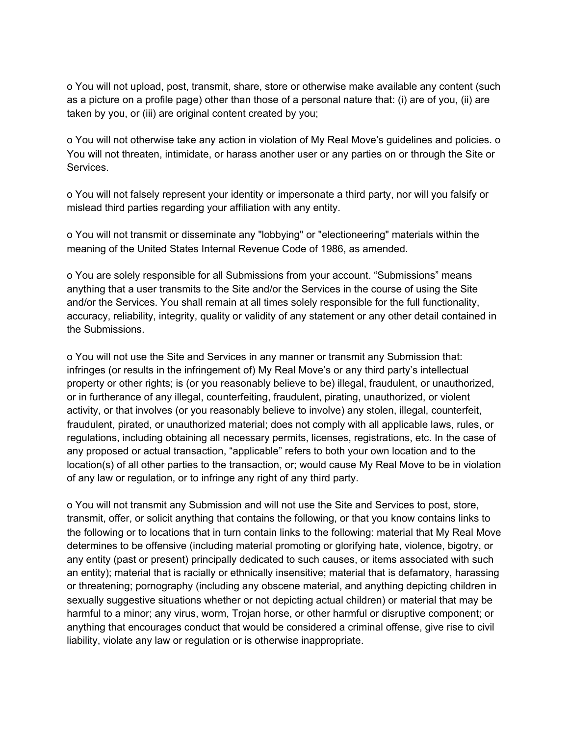o You will not upload, post, transmit, share, store or otherwise make available any content (such as a picture on a profile page) other than those of a personal nature that: (i) are of you, (ii) are taken by you, or (iii) are original content created by you;

o You will not otherwise take any action in violation of My Real Move's guidelines and policies. o You will not threaten, intimidate, or harass another user or any parties on or through the Site or Services.

o You will not falsely represent your identity or impersonate a third party, nor will you falsify or mislead third parties regarding your affiliation with any entity.

o You will not transmit or disseminate any "lobbying" or "electioneering" materials within the meaning of the United States Internal Revenue Code of 1986, as amended.

o You are solely responsible for all Submissions from your account. "Submissions" means anything that a user transmits to the Site and/or the Services in the course of using the Site and/or the Services. You shall remain at all times solely responsible for the full functionality, accuracy, reliability, integrity, quality or validity of any statement or any other detail contained in the Submissions.

o You will not use the Site and Services in any manner or transmit any Submission that: infringes (or results in the infringement of) My Real Move's or any third party's intellectual property or other rights; is (or you reasonably believe to be) illegal, fraudulent, or unauthorized, or in furtherance of any illegal, counterfeiting, fraudulent, pirating, unauthorized, or violent activity, or that involves (or you reasonably believe to involve) any stolen, illegal, counterfeit, fraudulent, pirated, or unauthorized material; does not comply with all applicable laws, rules, or regulations, including obtaining all necessary permits, licenses, registrations, etc. In the case of any proposed or actual transaction, "applicable" refers to both your own location and to the location(s) of all other parties to the transaction, or; would cause My Real Move to be in violation of any law or regulation, or to infringe any right of any third party.

o You will not transmit any Submission and will not use the Site and Services to post, store, transmit, offer, or solicit anything that contains the following, or that you know contains links to the following or to locations that in turn contain links to the following: material that My Real Move determines to be offensive (including material promoting or glorifying hate, violence, bigotry, or any entity (past or present) principally dedicated to such causes, or items associated with such an entity); material that is racially or ethnically insensitive; material that is defamatory, harassing or threatening; pornography (including any obscene material, and anything depicting children in sexually suggestive situations whether or not depicting actual children) or material that may be harmful to a minor; any virus, worm, Trojan horse, or other harmful or disruptive component; or anything that encourages conduct that would be considered a criminal offense, give rise to civil liability, violate any law or regulation or is otherwise inappropriate.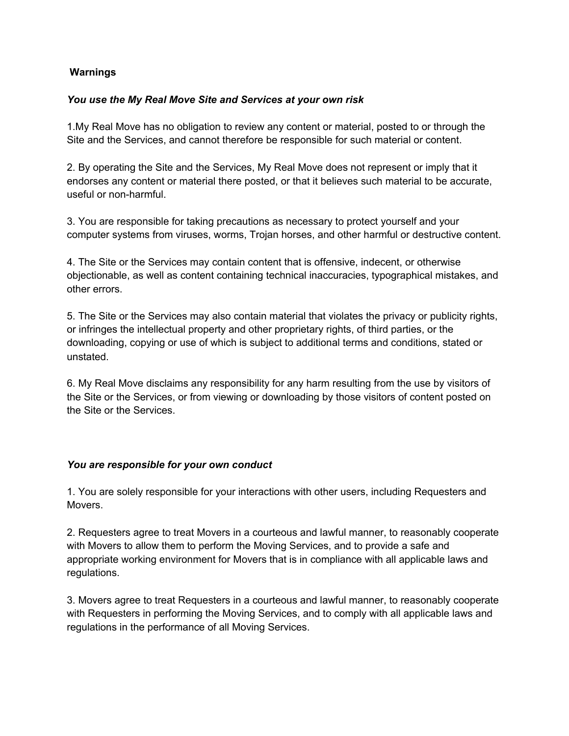### **Warnings**

#### *You use the My Real Move Site and Services at your own risk*

1.My Real Move has no obligation to review any content or material, posted to or through the Site and the Services, and cannot therefore be responsible for such material or content.

2. By operating the Site and the Services, My Real Move does not represent or imply that it endorses any content or material there posted, or that it believes such material to be accurate, useful or non-harmful.

3. You are responsible for taking precautions as necessary to protect yourself and your computer systems from viruses, worms, Trojan horses, and other harmful or destructive content.

4. The Site or the Services may contain content that is offensive, indecent, or otherwise objectionable, as well as content containing technical inaccuracies, typographical mistakes, and other errors.

5. The Site or the Services may also contain material that violates the privacy or publicity rights, or infringes the intellectual property and other proprietary rights, of third parties, or the downloading, copying or use of which is subject to additional terms and conditions, stated or unstated.

6. My Real Move disclaims any responsibility for any harm resulting from the use by visitors of the Site or the Services, or from viewing or downloading by those visitors of content posted on the Site or the Services.

#### *You are responsible for your own conduct*

1. You are solely responsible for your interactions with other users, including Requesters and Movers.

2. Requesters agree to treat Movers in a courteous and lawful manner, to reasonably cooperate with Movers to allow them to perform the Moving Services, and to provide a safe and appropriate working environment for Movers that is in compliance with all applicable laws and regulations.

3. Movers agree to treat Requesters in a courteous and lawful manner, to reasonably cooperate with Requesters in performing the Moving Services, and to comply with all applicable laws and regulations in the performance of all Moving Services.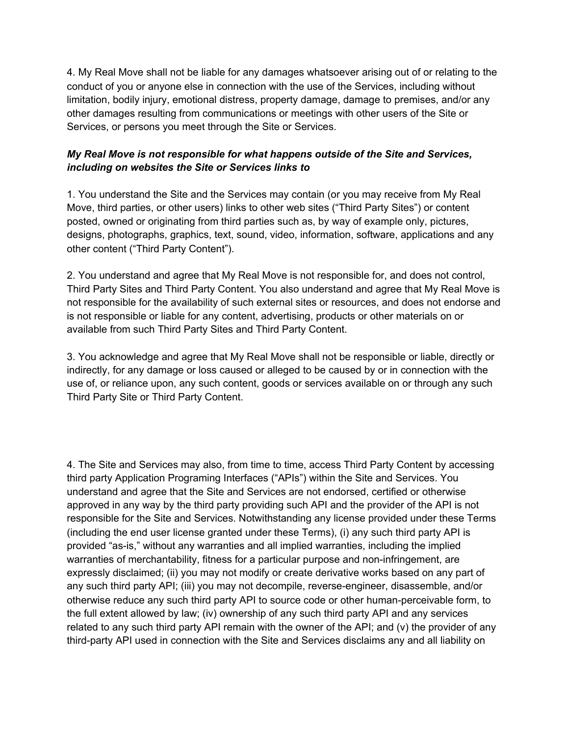4. My Real Move shall not be liable for any damages whatsoever arising out of or relating to the conduct of you or anyone else in connection with the use of the Services, including without limitation, bodily injury, emotional distress, property damage, damage to premises, and/or any other damages resulting from communications or meetings with other users of the Site or Services, or persons you meet through the Site or Services.

## *My Real Move is not responsible for what happens outside of the Site and Services, including on websites the Site or Services links to*

1. You understand the Site and the Services may contain (or you may receive from My Real Move, third parties, or other users) links to other web sites ("Third Party Sites") or content posted, owned or originating from third parties such as, by way of example only, pictures, designs, photographs, graphics, text, sound, video, information, software, applications and any other content ("Third Party Content").

2. You understand and agree that My Real Move is not responsible for, and does not control, Third Party Sites and Third Party Content. You also understand and agree that My Real Move is not responsible for the availability of such external sites or resources, and does not endorse and is not responsible or liable for any content, advertising, products or other materials on or available from such Third Party Sites and Third Party Content.

3. You acknowledge and agree that My Real Move shall not be responsible or liable, directly or indirectly, for any damage or loss caused or alleged to be caused by or in connection with the use of, or reliance upon, any such content, goods or services available on or through any such Third Party Site or Third Party Content.

4. The Site and Services may also, from time to time, access Third Party Content by accessing third party Application Programing Interfaces ("APIs") within the Site and Services. You understand and agree that the Site and Services are not endorsed, certified or otherwise approved in any way by the third party providing such API and the provider of the API is not responsible for the Site and Services. Notwithstanding any license provided under these Terms (including the end user license granted under these Terms), (i) any such third party API is provided "as-is," without any warranties and all implied warranties, including the implied warranties of merchantability, fitness for a particular purpose and non-infringement, are expressly disclaimed; (ii) you may not modify or create derivative works based on any part of any such third party API; (iii) you may not decompile, reverse-engineer, disassemble, and/or otherwise reduce any such third party API to source code or other human-perceivable form, to the full extent allowed by law; (iv) ownership of any such third party API and any services related to any such third party API remain with the owner of the API; and (v) the provider of any third-party API used in connection with the Site and Services disclaims any and all liability on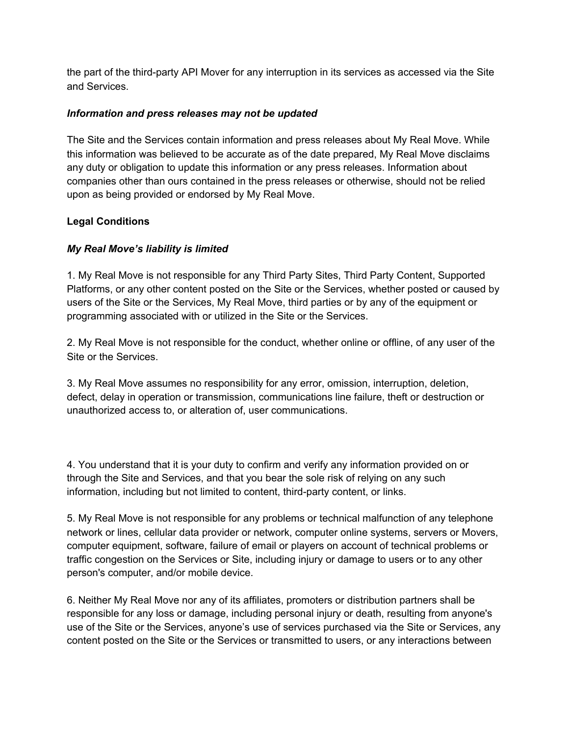the part of the third-party API Mover for any interruption in its services as accessed via the Site and Services.

### *Information and press releases may not be updated*

The Site and the Services contain information and press releases about My Real Move. While this information was believed to be accurate as of the date prepared, My Real Move disclaims any duty or obligation to update this information or any press releases. Information about companies other than ours contained in the press releases or otherwise, should not be relied upon as being provided or endorsed by My Real Move.

### **Legal Conditions**

### *My Real Move's liability is limited*

1. My Real Move is not responsible for any Third Party Sites, Third Party Content, Supported Platforms, or any other content posted on the Site or the Services, whether posted or caused by users of the Site or the Services, My Real Move, third parties or by any of the equipment or programming associated with or utilized in the Site or the Services.

2. My Real Move is not responsible for the conduct, whether online or offline, of any user of the Site or the Services.

3. My Real Move assumes no responsibility for any error, omission, interruption, deletion, defect, delay in operation or transmission, communications line failure, theft or destruction or unauthorized access to, or alteration of, user communications.

4. You understand that it is your duty to confirm and verify any information provided on or through the Site and Services, and that you bear the sole risk of relying on any such information, including but not limited to content, third-party content, or links.

5. My Real Move is not responsible for any problems or technical malfunction of any telephone network or lines, cellular data provider or network, computer online systems, servers or Movers, computer equipment, software, failure of email or players on account of technical problems or traffic congestion on the Services or Site, including injury or damage to users or to any other person's computer, and/or mobile device.

6. Neither My Real Move nor any of its affiliates, promoters or distribution partners shall be responsible for any loss or damage, including personal injury or death, resulting from anyone's use of the Site or the Services, anyone's use of services purchased via the Site or Services, any content posted on the Site or the Services or transmitted to users, or any interactions between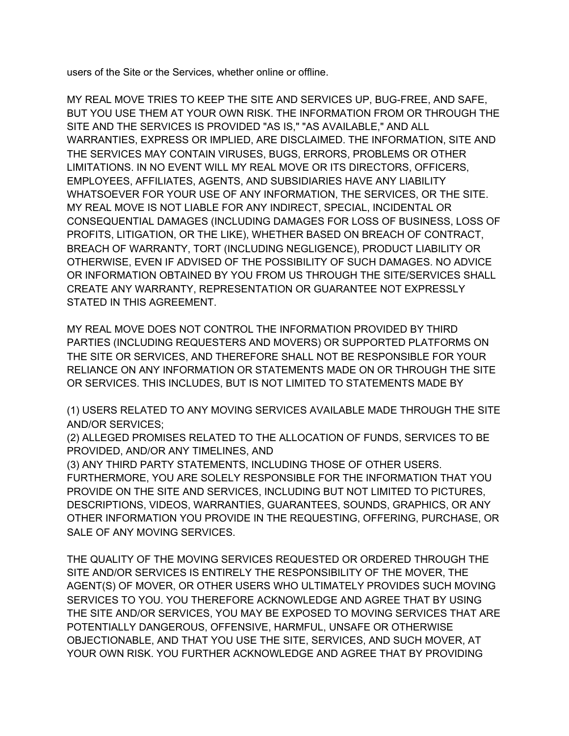users of the Site or the Services, whether online or offline.

MY REAL MOVE TRIES TO KEEP THE SITE AND SERVICES UP, BUG-FREE, AND SAFE, BUT YOU USE THEM AT YOUR OWN RISK. THE INFORMATION FROM OR THROUGH THE SITE AND THE SERVICES IS PROVIDED "AS IS," "AS AVAILABLE," AND ALL WARRANTIES, EXPRESS OR IMPLIED, ARE DISCLAIMED. THE INFORMATION, SITE AND THE SERVICES MAY CONTAIN VIRUSES, BUGS, ERRORS, PROBLEMS OR OTHER LIMITATIONS. IN NO EVENT WILL MY REAL MOVE OR ITS DIRECTORS, OFFICERS, EMPLOYEES, AFFILIATES, AGENTS, AND SUBSIDIARIES HAVE ANY LIABILITY WHATSOEVER FOR YOUR USE OF ANY INFORMATION, THE SERVICES, OR THE SITE. MY REAL MOVE IS NOT LIABLE FOR ANY INDIRECT, SPECIAL, INCIDENTAL OR CONSEQUENTIAL DAMAGES (INCLUDING DAMAGES FOR LOSS OF BUSINESS, LOSS OF PROFITS, LITIGATION, OR THE LIKE), WHETHER BASED ON BREACH OF CONTRACT, BREACH OF WARRANTY, TORT (INCLUDING NEGLIGENCE), PRODUCT LIABILITY OR OTHERWISE, EVEN IF ADVISED OF THE POSSIBILITY OF SUCH DAMAGES. NO ADVICE OR INFORMATION OBTAINED BY YOU FROM US THROUGH THE SITE/SERVICES SHALL CREATE ANY WARRANTY, REPRESENTATION OR GUARANTEE NOT EXPRESSLY STATED IN THIS AGREEMENT.

MY REAL MOVE DOES NOT CONTROL THE INFORMATION PROVIDED BY THIRD PARTIES (INCLUDING REQUESTERS AND MOVERS) OR SUPPORTED PLATFORMS ON THE SITE OR SERVICES, AND THEREFORE SHALL NOT BE RESPONSIBLE FOR YOUR RELIANCE ON ANY INFORMATION OR STATEMENTS MADE ON OR THROUGH THE SITE OR SERVICES. THIS INCLUDES, BUT IS NOT LIMITED TO STATEMENTS MADE BY

(1) USERS RELATED TO ANY MOVING SERVICES AVAILABLE MADE THROUGH THE SITE AND/OR SERVICES;

(2) ALLEGED PROMISES RELATED TO THE ALLOCATION OF FUNDS, SERVICES TO BE PROVIDED, AND/OR ANY TIMELINES, AND

(3) ANY THIRD PARTY STATEMENTS, INCLUDING THOSE OF OTHER USERS. FURTHERMORE, YOU ARE SOLELY RESPONSIBLE FOR THE INFORMATION THAT YOU PROVIDE ON THE SITE AND SERVICES, INCLUDING BUT NOT LIMITED TO PICTURES, DESCRIPTIONS, VIDEOS, WARRANTIES, GUARANTEES, SOUNDS, GRAPHICS, OR ANY OTHER INFORMATION YOU PROVIDE IN THE REQUESTING, OFFERING, PURCHASE, OR SALE OF ANY MOVING SERVICES.

THE QUALITY OF THE MOVING SERVICES REQUESTED OR ORDERED THROUGH THE SITE AND/OR SERVICES IS ENTIRELY THE RESPONSIBILITY OF THE MOVER, THE AGENT(S) OF MOVER, OR OTHER USERS WHO ULTIMATELY PROVIDES SUCH MOVING SERVICES TO YOU. YOU THEREFORE ACKNOWLEDGE AND AGREE THAT BY USING THE SITE AND/OR SERVICES, YOU MAY BE EXPOSED TO MOVING SERVICES THAT ARE POTENTIALLY DANGEROUS, OFFENSIVE, HARMFUL, UNSAFE OR OTHERWISE OBJECTIONABLE, AND THAT YOU USE THE SITE, SERVICES, AND SUCH MOVER, AT YOUR OWN RISK. YOU FURTHER ACKNOWLEDGE AND AGREE THAT BY PROVIDING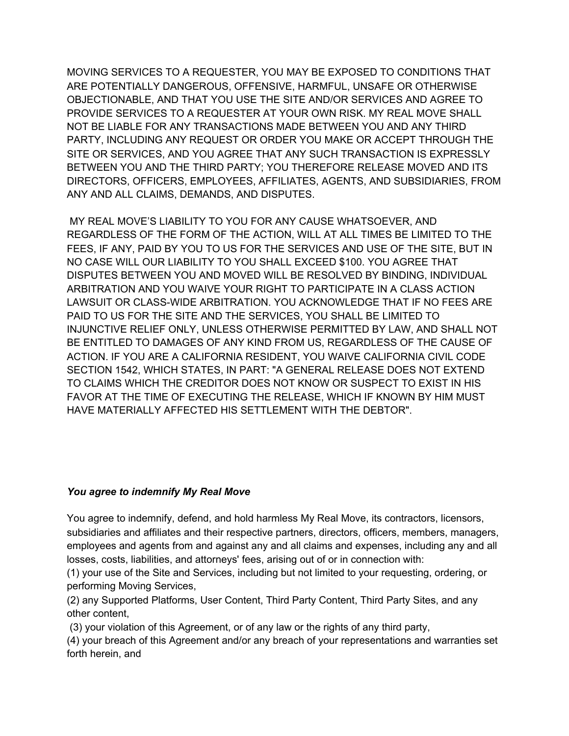MOVING SERVICES TO A REQUESTER, YOU MAY BE EXPOSED TO CONDITIONS THAT ARE POTENTIALLY DANGEROUS, OFFENSIVE, HARMFUL, UNSAFE OR OTHERWISE OBJECTIONABLE, AND THAT YOU USE THE SITE AND/OR SERVICES AND AGREE TO PROVIDE SERVICES TO A REQUESTER AT YOUR OWN RISK. MY REAL MOVE SHALL NOT BE LIABLE FOR ANY TRANSACTIONS MADE BETWEEN YOU AND ANY THIRD PARTY, INCLUDING ANY REQUEST OR ORDER YOU MAKE OR ACCEPT THROUGH THE SITE OR SERVICES, AND YOU AGREE THAT ANY SUCH TRANSACTION IS EXPRESSLY BETWEEN YOU AND THE THIRD PARTY; YOU THEREFORE RELEASE MOVED AND ITS DIRECTORS, OFFICERS, EMPLOYEES, AFFILIATES, AGENTS, AND SUBSIDIARIES, FROM ANY AND ALL CLAIMS, DEMANDS, AND DISPUTES.

MY REAL MOVE'S LIABILITY TO YOU FOR ANY CAUSE WHATSOEVER, AND REGARDLESS OF THE FORM OF THE ACTION, WILL AT ALL TIMES BE LIMITED TO THE FEES, IF ANY, PAID BY YOU TO US FOR THE SERVICES AND USE OF THE SITE, BUT IN NO CASE WILL OUR LIABILITY TO YOU SHALL EXCEED \$100. YOU AGREE THAT DISPUTES BETWEEN YOU AND MOVED WILL BE RESOLVED BY BINDING, INDIVIDUAL ARBITRATION AND YOU WAIVE YOUR RIGHT TO PARTICIPATE IN A CLASS ACTION LAWSUIT OR CLASS-WIDE ARBITRATION. YOU ACKNOWLEDGE THAT IF NO FEES ARE PAID TO US FOR THE SITE AND THE SERVICES, YOU SHALL BE LIMITED TO INJUNCTIVE RELIEF ONLY, UNLESS OTHERWISE PERMITTED BY LAW, AND SHALL NOT BE ENTITLED TO DAMAGES OF ANY KIND FROM US, REGARDLESS OF THE CAUSE OF ACTION. IF YOU ARE A CALIFORNIA RESIDENT, YOU WAIVE CALIFORNIA CIVIL CODE SECTION 1542, WHICH STATES, IN PART: "A GENERAL RELEASE DOES NOT EXTEND TO CLAIMS WHICH THE CREDITOR DOES NOT KNOW OR SUSPECT TO EXIST IN HIS FAVOR AT THE TIME OF EXECUTING THE RELEASE, WHICH IF KNOWN BY HIM MUST HAVE MATERIALLY AFFECTED HIS SETTLEMENT WITH THE DEBTOR".

### *You agree to indemnify My Real Move*

You agree to indemnify, defend, and hold harmless My Real Move, its contractors, licensors, subsidiaries and affiliates and their respective partners, directors, officers, members, managers, employees and agents from and against any and all claims and expenses, including any and all losses, costs, liabilities, and attorneys' fees, arising out of or in connection with:

(1) your use of the Site and Services, including but not limited to your requesting, ordering, or performing Moving Services,

(2) any Supported Platforms, User Content, Third Party Content, Third Party Sites, and any other content,

(3) your violation of this Agreement, or of any law or the rights of any third party,

(4) your breach of this Agreement and/or any breach of your representations and warranties set forth herein, and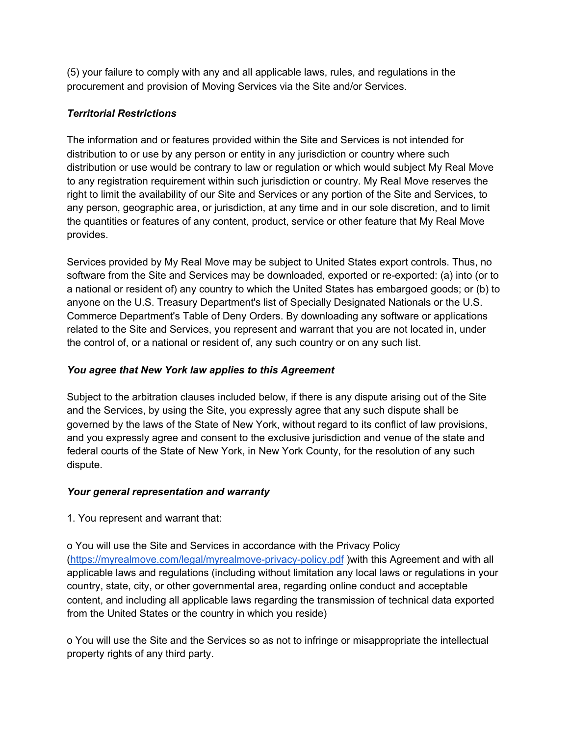(5) your failure to comply with any and all applicable laws, rules, and regulations in the procurement and provision of Moving Services via the Site and/or Services.

# *Territorial Restrictions*

The information and or features provided within the Site and Services is not intended for distribution to or use by any person or entity in any jurisdiction or country where such distribution or use would be contrary to law or regulation or which would subject My Real Move to any registration requirement within such jurisdiction or country. My Real Move reserves the right to limit the availability of our Site and Services or any portion of the Site and Services, to any person, geographic area, or jurisdiction, at any time and in our sole discretion, and to limit the quantities or features of any content, product, service or other feature that My Real Move provides.

Services provided by My Real Move may be subject to United States export controls. Thus, no software from the Site and Services may be downloaded, exported or re-exported: (a) into (or to a national or resident of) any country to which the United States has embargoed goods; or (b) to anyone on the U.S. Treasury Department's list of Specially Designated Nationals or the U.S. Commerce Department's Table of Deny Orders. By downloading any software or applications related to the Site and Services, you represent and warrant that you are not located in, under the control of, or a national or resident of, any such country or on any such list.

# *You agree that New York law applies to this Agreement*

Subject to the arbitration clauses included below, if there is any dispute arising out of the Site and the Services, by using the Site, you expressly agree that any such dispute shall be governed by the laws of the State of New York, without regard to its conflict of law provisions, and you expressly agree and consent to the exclusive jurisdiction and venue of the state and federal courts of the State of New York, in New York County, for the resolution of any such dispute.

### *Your general representation and warranty*

1. You represent and warrant that:

o You will use the Site and Services in accordance with the Privacy Policy (<https://myrealmove.com/legal/myrealmove-privacy-policy.pdf> )with this Agreement and with all applicable laws and regulations (including without limitation any local laws or regulations in your country, state, city, or other governmental area, regarding online conduct and acceptable content, and including all applicable laws regarding the transmission of technical data exported from the United States or the country in which you reside)

o You will use the Site and the Services so as not to infringe or misappropriate the intellectual property rights of any third party.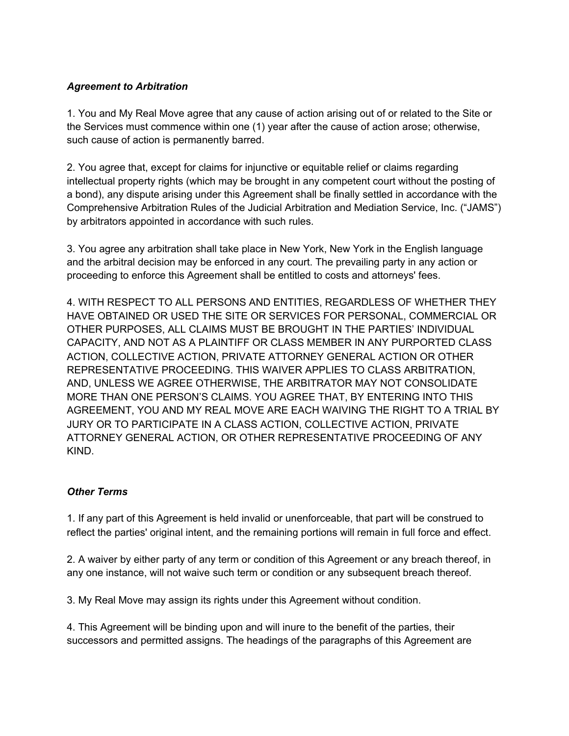## *Agreement to Arbitration*

1. You and My Real Move agree that any cause of action arising out of or related to the Site or the Services must commence within one (1) year after the cause of action arose; otherwise, such cause of action is permanently barred.

2. You agree that, except for claims for injunctive or equitable relief or claims regarding intellectual property rights (which may be brought in any competent court without the posting of a bond), any dispute arising under this Agreement shall be finally settled in accordance with the Comprehensive Arbitration Rules of the Judicial Arbitration and Mediation Service, Inc. ("JAMS") by arbitrators appointed in accordance with such rules.

3. You agree any arbitration shall take place in New York, New York in the English language and the arbitral decision may be enforced in any court. The prevailing party in any action or proceeding to enforce this Agreement shall be entitled to costs and attorneys' fees.

4. WITH RESPECT TO ALL PERSONS AND ENTITIES, REGARDLESS OF WHETHER THEY HAVE OBTAINED OR USED THE SITE OR SERVICES FOR PERSONAL, COMMERCIAL OR OTHER PURPOSES, ALL CLAIMS MUST BE BROUGHT IN THE PARTIES' INDIVIDUAL CAPACITY, AND NOT AS A PLAINTIFF OR CLASS MEMBER IN ANY PURPORTED CLASS ACTION, COLLECTIVE ACTION, PRIVATE ATTORNEY GENERAL ACTION OR OTHER REPRESENTATIVE PROCEEDING. THIS WAIVER APPLIES TO CLASS ARBITRATION, AND, UNLESS WE AGREE OTHERWISE, THE ARBITRATOR MAY NOT CONSOLIDATE MORE THAN ONE PERSON'S CLAIMS. YOU AGREE THAT, BY ENTERING INTO THIS AGREEMENT, YOU AND MY REAL MOVE ARE EACH WAIVING THE RIGHT TO A TRIAL BY JURY OR TO PARTICIPATE IN A CLASS ACTION, COLLECTIVE ACTION, PRIVATE ATTORNEY GENERAL ACTION, OR OTHER REPRESENTATIVE PROCEEDING OF ANY KIND.

### *Other Terms*

1. If any part of this Agreement is held invalid or unenforceable, that part will be construed to reflect the parties' original intent, and the remaining portions will remain in full force and effect.

2. A waiver by either party of any term or condition of this Agreement or any breach thereof, in any one instance, will not waive such term or condition or any subsequent breach thereof.

3. My Real Move may assign its rights under this Agreement without condition.

4. This Agreement will be binding upon and will inure to the benefit of the parties, their successors and permitted assigns. The headings of the paragraphs of this Agreement are